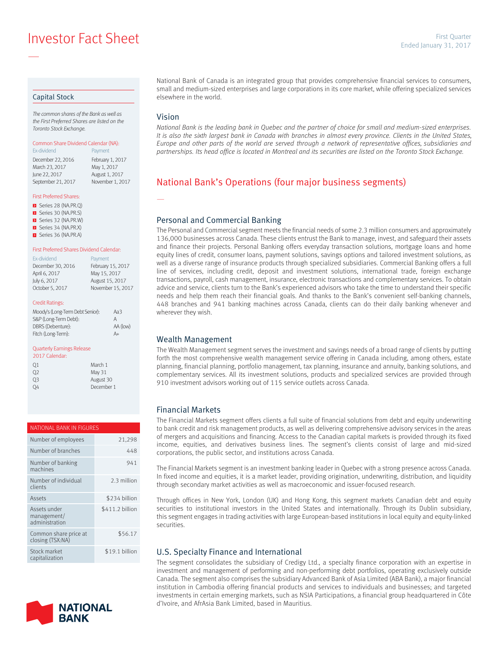**Investor Fact Sheet** Engle Sheet Engle Sheet Engle Sheet Engle Sheet Sheet Sheet Sheet Sheet Banuary 31, 2017

#### Capital Stock

—

The common shares of the Bank as well as the First Preferred Shares are listed on the Toronto Stock Exchange.

## Common Share Dividend Calendar (NA):

Ex-dividend **Payment** December 22, 2016 February 1, 2017 March 23, 2017 May 1, 2017 June 22, 2017 August 1, 2017 September 21, 2017 November 1, 2017

#### First Preferred Shares:

- Series 28 (NA.PR.Q) Series 30 (NA.PR.S) **E** Series 32 (NA.PR.W)
- Series 34 (NA.PR.X)
- Series 36 (NA.PR.A)

#### First Preferred Shares Dividend Calendar:

| <b>Fx-dividend</b> | Payment           |
|--------------------|-------------------|
| December 30, 2016  | February 15, 2017 |
| April 6, 2017      | May 15, 2017      |
| July 6, 2017       | August 15, 2017   |
| October 5, 2017    | November 15, 2017 |

#### Credit Ratings:

| Moody's (Long-Term Debt Senior): | Aa3      |
|----------------------------------|----------|
| S&P (Long-Term Debt):            | А        |
| DBRS (Debenture):                | AA (low) |
| Fitch (Long-Term):               | $A+$     |
|                                  |          |

#### Quarterly Earnings Release

| 2017 Calendar: |            |
|----------------|------------|
| 01             | March 1    |
| O <sub>2</sub> | May 31     |
| OЗ             | August 30  |
|                | December 1 |

| NATIONAL BANK IN FIGURES                      |                 |  |  |
|-----------------------------------------------|-----------------|--|--|
| Number of employees                           | 21,298          |  |  |
| Number of branches                            | 448             |  |  |
| Number of banking<br>machines                 | 941             |  |  |
| Number of individual<br>clients               | 2.3 million     |  |  |
| Assets                                        | \$234 billion   |  |  |
| Assets under<br>management/<br>administration | \$411.2 billion |  |  |
| Common share price at<br>closing (TSX:NA)     | \$56.17         |  |  |
| Stock market<br>capitalization                | \$19.1 billion  |  |  |



National Bank of Canada is an integrated group that provides comprehensive financial services to consumers, small and medium-sized enterprises and large corporations in its core market, while offering specialized services elsewhere in the world.

## Vision

—

National Bank is the leading bank in Quebec and the partner of choice for small and medium-sized enterprises. It is also the sixth largest bank in Canada with branches in almost every province. Clients in the United States, Europe and other parts of the world are served through a network of representative offices, subsidiaries and partnerships. Its head office is located in Montreal and its securities are listed on the Toronto Stock Exchange.

# National Bank's Operations (four major business segments)

### Personal and Commercial Banking

The Personal and Commercial segment meets the financial needs of some 2.3 million consumers and approximately 136,000 businesses across Canada. These clients entrust the Bank to manage, invest, and safeguard their assets and finance their projects. Personal Banking offers everyday transaction solutions, mortgage loans and home equity lines of credit, consumer loans, payment solutions, savings options and tailored investment solutions, as well as a diverse range of insurance products through specialized subsidiaries. Commercial Banking offers a full line of services, including credit, deposit and investment solutions, international trade, foreign exchange transactions, payroll, cash management, insurance, electronic transactions and complementary services. To obtain advice and service, clients turn to the Bank's experienced advisors who take the time to understand their specific needs and help them reach their financial goals. And thanks to the Bank's convenient self-banking channels, 448 branches and 941 banking machines across Canada, clients can do their daily banking whenever and wherever they wish.

#### Wealth Management

The Wealth Management segment serves the investment and savings needs of a broad range of clients by putting forth the most comprehensive wealth management service offering in Canada including, among others, estate planning, financial planning, portfolio management, tax planning, insurance and annuity, banking solutions, and complementary services. All its investment solutions, products and specialized services are provided through 910 investment advisors working out of 115 service outlets across Canada.

### Financial Markets

The Financial Markets segment offers clients a full suite of financial solutions from debt and equity underwriting to bank credit and risk management products, as well as delivering comprehensive advisory services in the areas of mergers and acquisitions and financing. Access to the Canadian capital markets is provided through its fixed income, equities, and derivatives business lines. The segment's clients consist of large and mid-sized corporations, the public sector, and institutions across Canada.

The Financial Markets segment is an investment banking leader in Quebec with a strong presence across Canada. In fixed income and equities, it is a market leader, providing origination, underwriting, distribution, and liquidity through secondary market activities as well as macroeconomic and issuer-focused research.

Through offices in New York, London (UK) and Hong Kong, this segment markets Canadian debt and equity securities to institutional investors in the United States and internationally. Through its Dublin subsidiary, this segment engages in trading activities with large European-based institutions in local equity and equity-linked securities.

#### U.S. Specialty Finance and International

The segment consolidates the subsidiary of Credigy Ltd., a specialty finance corporation with an expertise in investment and management of performing and non-performing debt portfolios, operating exclusively outside Canada. The segment also comprises the subsidiary Advanced Bank of Asia Limited (ABA Bank), a major financial institution in Cambodia offering financial products and services to individuals and businesses; and targeted investments in certain emerging markets, such as NSIA Participations, a financial group headquartered in Côte d'Ivoire, and AfrAsia Bank Limited, based in Mauritius.